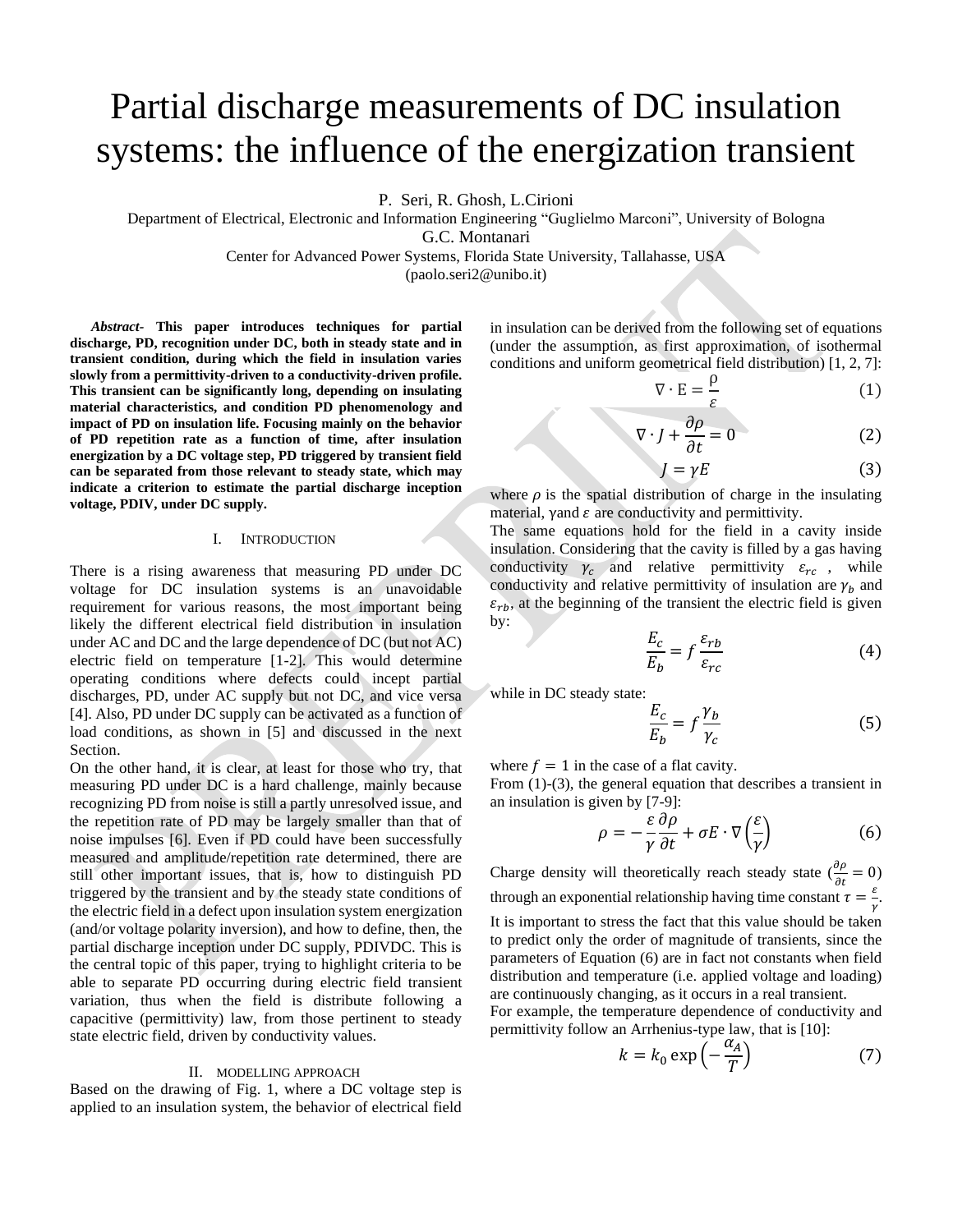# Partial discharge measurements of DC insulation systems: the influence of the energization transient

P. Seri, R. Ghosh, L.Cirioni

Department of Electrical, Electronic and Information Engineering "Guglielmo Marconi", University of Bologna G.C. Montanari

Center for Advanced Power Systems, Florida State University, Tallahasse, USA

(paolo.seri2@unibo.it)

*Abstract-* **This paper introduces techniques for partial discharge, PD, recognition under DC, both in steady state and in transient condition, during which the field in insulation varies slowly from a permittivity-driven to a conductivity-driven profile. This transient can be significantly long, depending on insulating material characteristics, and condition PD phenomenology and impact of PD on insulation life. Focusing mainly on the behavior of PD repetition rate as a function of time, after insulation energization by a DC voltage step, PD triggered by transient field can be separated from those relevant to steady state, which may indicate a criterion to estimate the partial discharge inception voltage, PDIV, under DC supply.**

### I. INTRODUCTION

There is a rising awareness that measuring PD under DC voltage for DC insulation systems is an unavoidable requirement for various reasons, the most important being likely the different electrical field distribution in insulation under AC and DC and the large dependence of DC (but not AC) electric field on temperature [1-2]. This would determine operating conditions where defects could incept partial discharges, PD, under AC supply but not DC, and vice versa [4]. Also, PD under DC supply can be activated as a function of load conditions, as shown in [5] and discussed in the next Section.

On the other hand, it is clear, at least for those who try, that measuring PD under DC is a hard challenge, mainly because recognizing PD from noise is still a partly unresolved issue, and the repetition rate of PD may be largely smaller than that of noise impulses [6]. Even if PD could have been successfully measured and amplitude/repetition rate determined, there are still other important issues, that is, how to distinguish PD triggered by the transient and by the steady state conditions of the electric field in a defect upon insulation system energization (and/or voltage polarity inversion), and how to define, then, the partial discharge inception under DC supply, PDIVDC. This is the central topic of this paper, trying to highlight criteria to be able to separate PD occurring during electric field transient variation, thus when the field is distribute following a capacitive (permittivity) law, from those pertinent to steady state electric field, driven by conductivity values.

#### II. MODELLING APPROACH

Based on the drawing of Fig. 1, where a DC voltage step is applied to an insulation system, the behavior of electrical field in insulation can be derived from the following set of equations (under the assumption, as first approximation, of isothermal conditions and uniform geometrical field distribution) [1, 2, 7]:

$$
\nabla \cdot \mathbf{E} = \frac{\rho}{\varepsilon} \tag{1}
$$

$$
\nabla \cdot J + \frac{\partial \rho}{\partial t} = 0 \tag{2}
$$

$$
J = \gamma E \tag{3}
$$

where  $\rho$  is the spatial distribution of charge in the insulating material, yand  $\varepsilon$  are conductivity and permittivity.

The same equations hold for the field in a cavity inside insulation. Considering that the cavity is filled by a gas having conductivity  $\gamma_c$  and relative permittivity  $\varepsilon_{rc}$ , while conductivity and relative permittivity of insulation are  $\gamma_b$  and  $\varepsilon_{rb}$ , at the beginning of the transient the electric field is given by:

$$
\frac{E_c}{E_b} = f \frac{\varepsilon_{rb}}{\varepsilon_{rc}}\tag{4}
$$

while in DC steady state:

$$
\frac{E_c}{E_b} = f \frac{\gamma_b}{\gamma_c} \tag{5}
$$

where  $f = 1$  in the case of a flat cavity.

From (1)-(3), the general equation that describes a transient in an insulation is given by [7-9]:

$$
\rho = -\frac{\varepsilon}{\gamma} \frac{\partial \rho}{\partial t} + \sigma E \cdot \nabla \left(\frac{\varepsilon}{\gamma}\right) \tag{6}
$$

Charge density will theoretically reach steady state  $\left(\frac{\partial \rho}{\partial t} = 0\right)$ through an exponential relationship having time constant  $\tau = \frac{\varepsilon}{L}$  $\frac{\varepsilon}{\gamma}$ . It is important to stress the fact that this value should be taken to predict only the order of magnitude of transients, since the parameters of Equation (6) are in fact not constants when field distribution and temperature (i.e. applied voltage and loading) are continuously changing, as it occurs in a real transient.

For example, the temperature dependence of conductivity and permittivity follow an Arrhenius-type law, that is [10]:

$$
k = k_0 \exp\left(-\frac{\alpha_A}{T}\right) \tag{7}
$$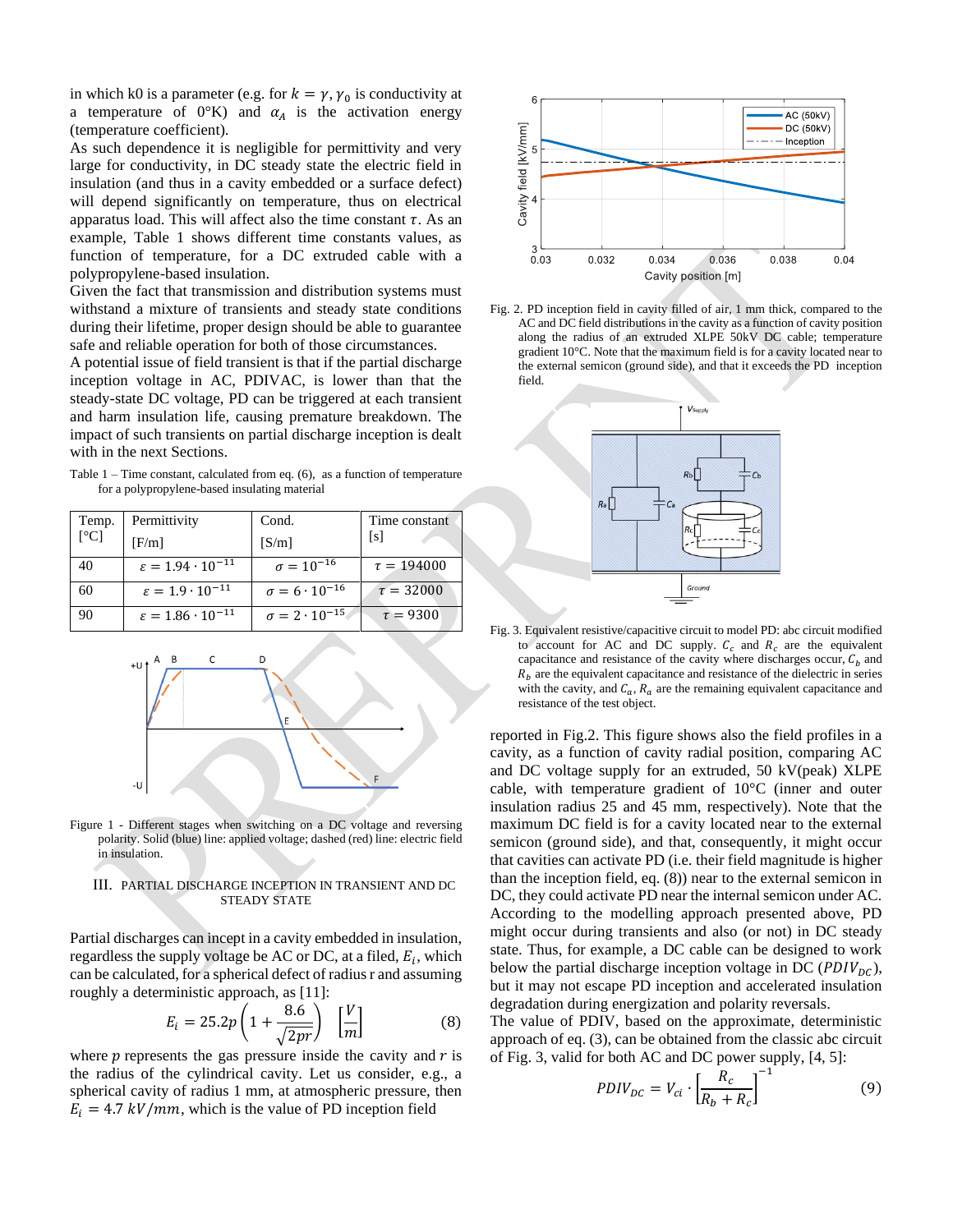in which k0 is a parameter (e.g. for  $k = \gamma$ ,  $\gamma_0$  is conductivity at a temperature of  $0^{\circ}K$ ) and  $\alpha_A$  is the activation energy (temperature coefficient).

As such dependence it is negligible for permittivity and very large for conductivity, in DC steady state the electric field in insulation (and thus in a cavity embedded or a surface defect) will depend significantly on temperature, thus on electrical apparatus load. This will affect also the time constant  $\tau$ . As an example, Table 1 shows different time constants values, as function of temperature, for a DC extruded cable with a polypropylene-based insulation.

Given the fact that transmission and distribution systems must withstand a mixture of transients and steady state conditions during their lifetime, proper design should be able to guarantee safe and reliable operation for both of those circumstances.

A potential issue of field transient is that if the partial discharge inception voltage in AC, PDIVAC, is lower than that the steady-state DC voltage, PD can be triggered at each transient and harm insulation life, causing premature breakdown. The impact of such transients on partial discharge inception is dealt with in the next Sections.

Table 1 – Time constant, calculated from eq. (6), as a function of temperature for a polypropylene-based insulating material

| Temp. | Permittivity                        | Cond.                       | Time constant   |
|-------|-------------------------------------|-----------------------------|-----------------|
| [°C]  | [F/m]                               | [S/m]                       | [s]             |
| 40    | $\varepsilon = 1.94 \cdot 10^{-11}$ | $\sigma = 10^{-16}$         | $\tau = 194000$ |
| 60    | $\varepsilon = 1.9 \cdot 10^{-11}$  | $\sigma = 6 \cdot 10^{-16}$ | $\tau = 32000$  |
| 90    | $\varepsilon = 1.86 \cdot 10^{-11}$ | $\sigma = 2 \cdot 10^{-15}$ | $\tau = 9300$   |



Figure 1 - Different stages when switching on a DC voltage and reversing polarity. Solid (blue) line: applied voltage; dashed (red) line: electric field in insulation.

#### III. PARTIAL DISCHARGE INCEPTION IN TRANSIENT AND DC STEADY STATE

Partial discharges can incept in a cavity embedded in insulation, regardless the supply voltage be AC or DC, at a filed,  $E_i$ , which can be calculated, for a spherical defect of radius r and assuming roughly a deterministic approach, as [11]:

$$
E_i = 25.2p \left(1 + \frac{8.6}{\sqrt{2pr}}\right) \quad \left[\frac{V}{m}\right] \tag{8}
$$

where  $p$  represents the gas pressure inside the cavity and  $r$  is the radius of the cylindrical cavity. Let us consider, e.g., a spherical cavity of radius 1 mm, at atmospheric pressure, then  $E_i = 4.7 \, kV/mm$ , which is the value of PD inception field



Fig. 2. PD inception field in cavity filled of air, 1 mm thick, compared to the AC and DC field distributions in the cavity as a function of cavity position along the radius of an extruded XLPE 50kV DC cable; temperature gradient 10°C. Note that the maximum field is for a cavity located near to the external semicon (ground side), and that it exceeds the PD inception field.



Fig. 3. Equivalent resistive/capacitive circuit to model PD: abc circuit modified to account for AC and DC supply.  $C_c$  and  $R_c$  are the equivalent capacitance and resistance of the cavity where discharges occur,  $C_b$  and  $R<sub>b</sub>$  are the equivalent capacitance and resistance of the dielectric in series with the cavity, and  $C_a$ ,  $R_a$  are the remaining equivalent capacitance and resistance of the test object.

reported in Fig.2. This figure shows also the field profiles in a cavity, as a function of cavity radial position, comparing AC and DC voltage supply for an extruded, 50 kV(peak) XLPE cable, with temperature gradient of 10°C (inner and outer insulation radius 25 and 45 mm, respectively). Note that the maximum DC field is for a cavity located near to the external semicon (ground side), and that, consequently, it might occur that cavities can activate PD (i.e. their field magnitude is higher than the inception field, eq. (8)) near to the external semicon in DC, they could activate PD near the internal semicon under AC. According to the modelling approach presented above, PD might occur during transients and also (or not) in DC steady state. Thus, for example, a DC cable can be designed to work below the partial discharge inception voltage in DC ( $PDIV_{DC}$ ), but it may not escape PD inception and accelerated insulation degradation during energization and polarity reversals.

The value of PDIV, based on the approximate, deterministic approach of eq. (3), can be obtained from the classic abc circuit of Fig. 3, valid for both AC and DC power supply, [4, 5]:

$$
PDIV_{DC} = V_{ci} \cdot \left[\frac{R_c}{R_b + R_c}\right]^{-1} \tag{9}
$$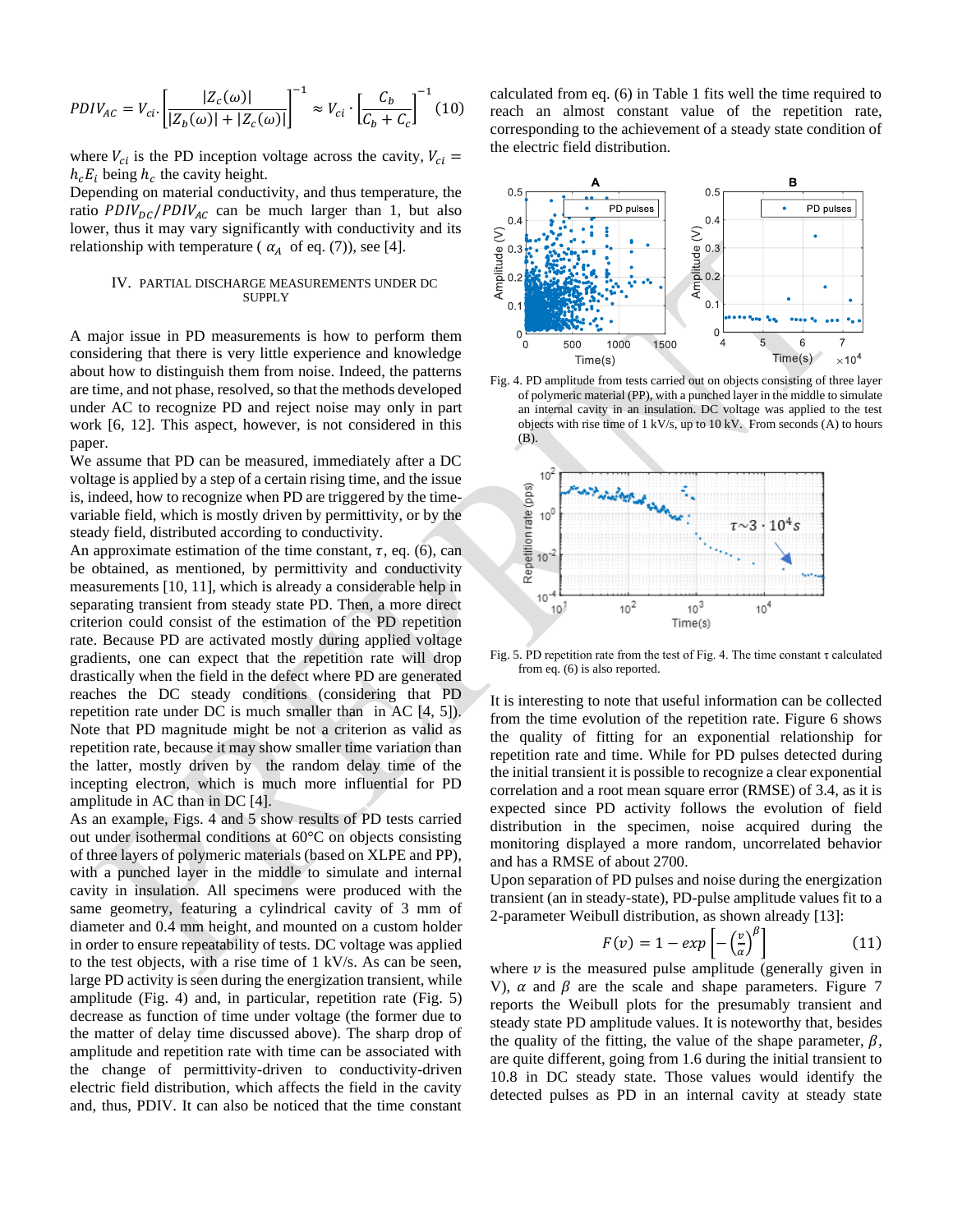$$
PDIV_{AC} = V_{ci} \cdot \left[ \frac{|Z_c(\omega)|}{|Z_b(\omega)| + |Z_c(\omega)|} \right]^{-1} \approx V_{ci} \cdot \left[ \frac{C_b}{C_b + C_c} \right]^{-1} (10)
$$

where  $V_{ci}$  is the PD inception voltage across the cavity,  $V_{ci}$  =  $h_c E_i$  being  $h_c$  the cavity height.

Depending on material conductivity, and thus temperature, the ratio  $PDIV_{DC}/PDIV_{AC}$  can be much larger than 1, but also lower, thus it may vary significantly with conductivity and its relationship with temperature ( $\alpha_A$  of eq. (7)), see [4].

## IV. PARTIAL DISCHARGE MEASUREMENTS UNDER DC SUPPLY

A major issue in PD measurements is how to perform them considering that there is very little experience and knowledge about how to distinguish them from noise. Indeed, the patterns are time, and not phase, resolved, so that the methods developed under AC to recognize PD and reject noise may only in part work [6, 12]. This aspect, however, is not considered in this paper.

We assume that PD can be measured, immediately after a DC voltage is applied by a step of a certain rising time, and the issue is, indeed, how to recognize when PD are triggered by the timevariable field, which is mostly driven by permittivity, or by the steady field, distributed according to conductivity.

An approximate estimation of the time constant,  $\tau$ , eq. (6), can be obtained, as mentioned, by permittivity and conductivity measurements [10, 11], which is already a considerable help in separating transient from steady state PD. Then, a more direct criterion could consist of the estimation of the PD repetition rate. Because PD are activated mostly during applied voltage gradients, one can expect that the repetition rate will drop drastically when the field in the defect where PD are generated reaches the DC steady conditions (considering that PD repetition rate under DC is much smaller than in AC [4, 5]). Note that PD magnitude might be not a criterion as valid as repetition rate, because it may show smaller time variation than the latter, mostly driven by the random delay time of the incepting electron, which is much more influential for PD amplitude in AC than in DC [4].

As an example, Figs. 4 and 5 show results of PD tests carried out under isothermal conditions at 60°C on objects consisting of three layers of polymeric materials (based on XLPE and PP), with a punched layer in the middle to simulate and internal cavity in insulation. All specimens were produced with the same geometry, featuring a cylindrical cavity of 3 mm of diameter and 0.4 mm height, and mounted on a custom holder in order to ensure repeatability of tests. DC voltage was applied to the test objects, with a rise time of 1 kV/s. As can be seen, large PD activity is seen during the energization transient, while amplitude (Fig. 4) and, in particular, repetition rate (Fig. 5) decrease as function of time under voltage (the former due to the matter of delay time discussed above). The sharp drop of amplitude and repetition rate with time can be associated with the change of permittivity-driven to conductivity-driven electric field distribution, which affects the field in the cavity and, thus, PDIV. It can also be noticed that the time constant calculated from eq. (6) in Table 1 fits well the time required to reach an almost constant value of the repetition rate, corresponding to the achievement of a steady state condition of the electric field distribution.



Fig. 4. PD amplitude from tests carried out on objects consisting of three layer of polymeric material (PP), with a punched layer in the middle to simulate an internal cavity in an insulation. DC voltage was applied to the test objects with rise time of 1 kV/s, up to 10 kV. From seconds (A) to hours (B).



Fig. 5. PD repetition rate from the test of Fig. 4. The time constant  $\tau$  calculated from eq. (6) is also reported.

It is interesting to note that useful information can be collected from the time evolution of the repetition rate. Figure 6 shows the quality of fitting for an exponential relationship for repetition rate and time. While for PD pulses detected during the initial transient it is possible to recognize a clear exponential correlation and a root mean square error (RMSE) of 3.4, as it is expected since PD activity follows the evolution of field distribution in the specimen, noise acquired during the monitoring displayed a more random, uncorrelated behavior and has a RMSE of about 2700.

Upon separation of PD pulses and noise during the energization transient (an in steady-state), PD-pulse amplitude values fit to a 2-parameter Weibull distribution, as shown already [13]:

$$
F(v) = 1 - exp\left[-\left(\frac{v}{\alpha}\right)^{\beta}\right]
$$
 (11)

where  $\nu$  is the measured pulse amplitude (generally given in V),  $\alpha$  and  $\beta$  are the scale and shape parameters. Figure 7 reports the Weibull plots for the presumably transient and steady state PD amplitude values. It is noteworthy that, besides the quality of the fitting, the value of the shape parameter,  $\beta$ , are quite different, going from 1.6 during the initial transient to 10.8 in DC steady state. Those values would identify the detected pulses as PD in an internal cavity at steady state